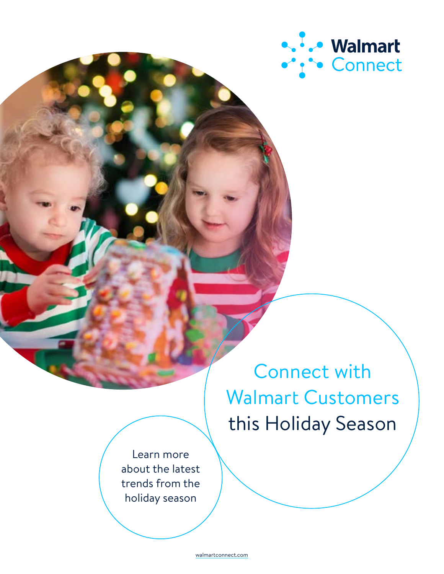

Connect with Walmart Customers this Holiday Season

Learn more about the latest trends from the holiday season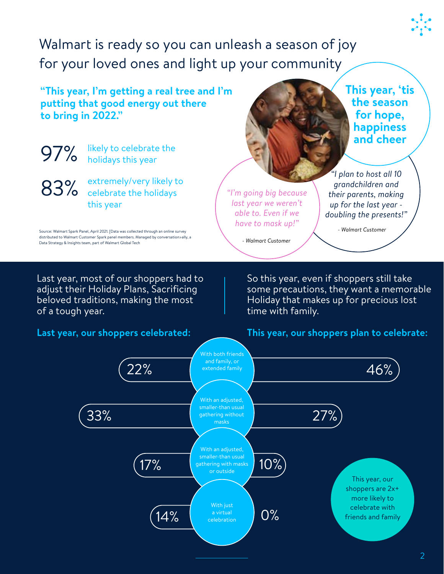Walmart is ready so you can unleash a season of joy for your loved ones and light up your community

**"This year, I'm getting a real tree and I'm putting that good energy out there to bring in 2022."**



#### **Last year, our shoppers celebrated:**

some precautions, they want a memorable

**This year, 'tis the season for hope, happiness** 

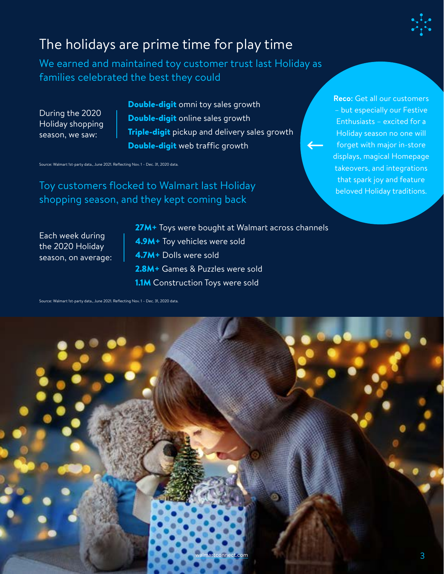

# The holidays are prime time for play time

We earned and maintained toy customer trust last Holiday as families celebrated the best they could

During the 2020 Holiday shopping season, we saw:

Double-digit omni toy sales growth Double-digit online sales growth **Triple-digit** pickup and delivery sales growth Double-digit web traffic growth

Source: Walmart 1st-party data., June 2021. Reflecting Nov. 1 – Dec. 31, 2020 data.

Toy customers flocked to Walmart last Holiday shopping season, and they kept coming back

Each week during the 2020 Holiday season, on average: 27M+ Toys were bought at Walmart across channels 4.9M+ Toy vehicles were sold 4.7M+ Dolls were sold 2.8M+ Games & Puzzles were sold **1.1M** Construction Toys were sold

Source: Walmart 1st-party data., June 2021. Reflecting Nov. 1 – Dec. 31, 2020 data.



**Reco:** Get all our customers – but especially our Festive Enthusiasts – excited for a Holiday season no one will forget with major in-store displays, magical Homepage takeovers, and integrations that spark joy and feature beloved Holiday traditions.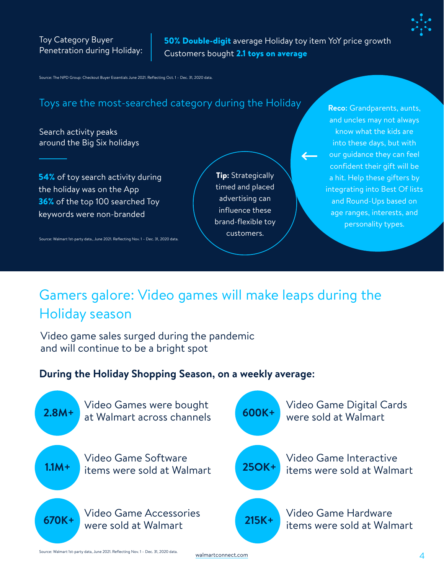50% Double-digit average Holiday toy item YoY price growth Customers bought 2.1 toys on average

Source: The NPD Group: Checkout Buyer Essentials June 2021. Reflecting Oct. 1 – Dec. 31, 2020 data.

## Toys are the most-searched category during the Holiday **Reco:** Grandparents, aunts,

Search activity peaks around the Big Six holidays

**54%** of toy search activity during the holiday was on the App **36%** of the top 100 searched Toy keywords were non-branded

Source: Walmart 1st-party data., June 2021. Reflecting Nov. 1 – Dec. 31, 2020 data.

**Tip:** Strategically timed and placed advertising can influence these brand-flexible toy customers.

and uncles may not always know what the kids are into these days, but with our guidance they can feel confident their gift will be a hit. Help these gifters by integrating into Best Of lists and Round-Ups based on age ranges, interests, and personality types.

# Gamers galore: Video games will make leaps during the Holiday season

Video game sales surged during the pandemic and will continue to be a bright spot

### **During the Holiday Shopping Season, on a weekly average:**



Source: Walmart 1st-party data, June 2021. Reflecting Nov. 1 – Dec. 31, 2020 data.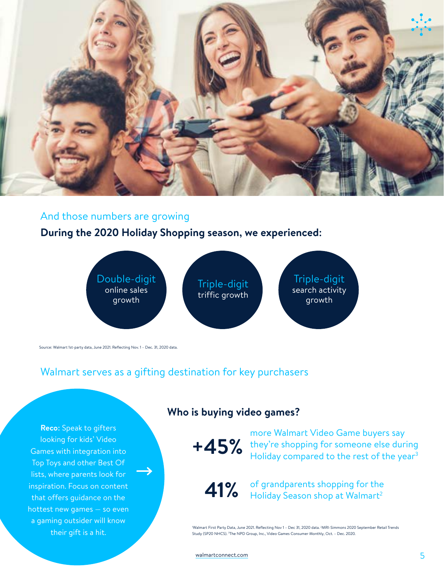

#### And those numbers are growing

### **During the 2020 Holiday Shopping season, we experienced:**



Source: Walmart 1st-party data, June 2021. Reflecting Nov. 1 – Dec. 31, 2020 data.

## Walmart serves as a gifting destination for key purchasers

**Reco:** Speak to gifters looking for kids' Video Games with integration into Top Toys and other Best Of lists, where parents look for inspiration. Focus on content that offers guidance on the hottest new games — so even a gaming outsider will know their gift is a hit.

#### **Who is buying video games?**

<sup>+45</sup>% they're shopping for someone else during<br>Holiday compared to the rest of the year<sup>3</sup> more Walmart Video Game buyers say Holiday compared to the rest of the year<sup>3</sup>

**41%** of grandparents shopping for the Holiday Season shop at Walmart<sup>2</sup>

1 Walmart First Party Data, June 2021. Reflecting Nov 1 – Dec 31, 2020 data. <sup>2</sup>MRI-Simmons 2020 September Retail Trends Study (SP20 NHCS). 3 The NPD Group, Inc., Video Games Consumer Monthly, Oct. – Dec. 2020.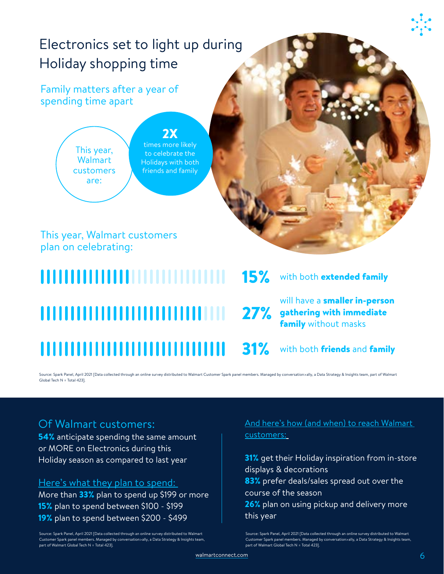# Electronics set to light up during Holiday shopping time

## Family matters after a year of spending time apart

This year, **Walmart** customers are:

#### 2X times more likely to celebrate the Holidays with both friends and family

This year, Walmart customers plan on celebrating:

# 15% ,,,,,,,,,,,,,,,,,,,,,,,,,,,,,, 31%

## with both **extended family**

will have a smaller in-person 27% gathering with immediate **family** without masks

with both friends and family

Source: Spark Panel, April 2021 [Data collected through an online survey distributed to Walmart Customer Spark panel members. Managed by conversation>ally, a Data Strategy & Insights team, part of Walmart Global Tech N = Total 423].

## Of Walmart customers:

**54%** anticipate spending the same amount or MORE on Electronics during this Holiday season as compared to last year

#### Here's what they plan to spend:

More than 33% plan to spend up \$199 or more 15% plan to spend between \$100 - \$199 19% plan to spend between \$200 - \$499

Source: Spark Panel, April 2021 [Data collected through an online survey distributed to Walmart Customer Spark panel members. Managed by conversation>ally, a Data Strategy & Insights team, part of Walmart Global Tech N = Total 423].

#### And here's how (and when) to reach Walmart customers:

**31%** get their Holiday inspiration from in-store displays & decorations 83% prefer deals/sales spread out over the course of the season 26% plan on using pickup and delivery more this year

Source: Spark Panel, April 2021 [Data collected through an online survey distributed to Walmart Customer Spark panel members. Managed by conversation>ally, a Data Strategy & Insights team, part of Walmart Global Tech N = Total 423].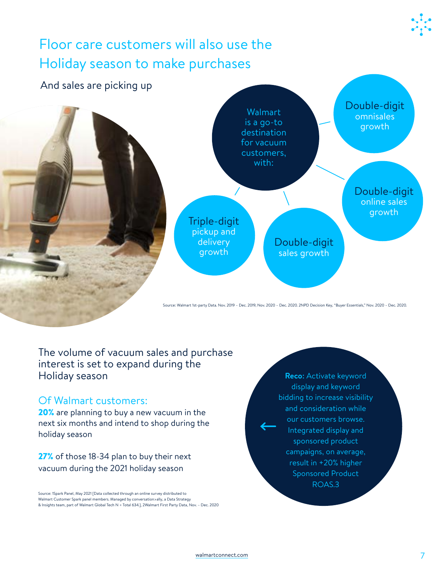

The volume of vacuum sales and purchase interest is set to expand during the Holiday season

#### Of Walmart customers:

20% are planning to buy a new vacuum in the next six months and intend to shop during the holiday season

27% of those 18-34 plan to buy their next vacuum during the 2021 holiday season

Source: 1Spark Panel, May 2021 [Data collected through an online survey distributed to 9 Walmart Customer Spark panel members. Managed by conversation>ally, a Data Strategy & Insights team, part of Walmart Global Tech N = Total 634.], 2Walmart First Party Data, Nov. – Dec. 2020

**Reco:** Activate keyword display and keyword bidding to increase visibility and consideration while our customers browse. Integrated display and sponsored product campaigns, on average, result in +20% higher Sponsored Product ROAS.3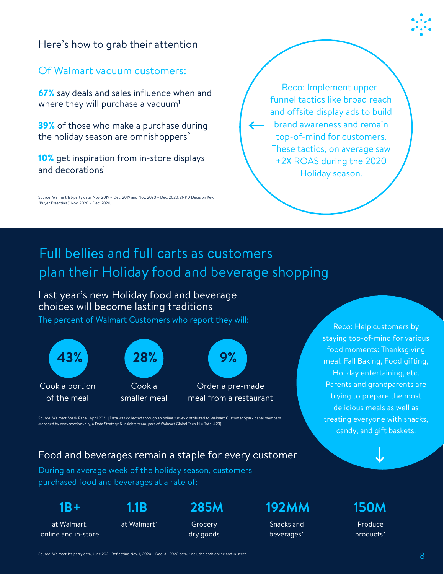### Here's how to grab their attention

#### Of Walmart vacuum customers:

67% say deals and sales influence when and where they will purchase a vacuum<sup>1</sup>

**39%** of those who make a purchase during the holiday season are omnishoppers $2$ 

**10%** get inspiration from in-store displays and decorations<sup>1</sup>

Source: Walmart 1st-party data. Nov. 2019 – Dec. 2019 and Nov. 2020 – Dec. 2020. 2NPD Decision Key, 9 "Buyer Essentials," Nov. 2020 – Dec. 2020.

Reco: Implement upperfunnel tactics like broad reach and offsite display ads to build brand awareness and remain top-of-mind for customers. These tactics, on average saw +2X ROAS during the 2020 Holiday season.

# Full bellies and full carts as customers plan their Holiday food and beverage shopping

Last year's new Holiday food and beverage choices will become lasting traditions

The percent of Walmart Customers who report they will:



Reco: Help customers by staying top-of-mind for various food moments: Thanksgiving meal, Fall Baking, Food gifting, Holiday entertaining, etc. Parents and grandparents are trying to prepare the most delicious meals as well as treating everyone with snacks, candy, and gift baskets.

Source: Walmart Spark Panel, April 2021. [Data was collected through an online survey distributed to Walmart Customer Spark panel members. Managed by conversation>ally, a Data Strategy & Insights team, part of Walmart Global Tech N = Total 423).

### Food and beverages remain a staple for every customer

During an average week of the holiday season, customers purchased food and beverages at a rate of:

**1B+**

at Walmart, online and in-store at Walmart\* Grocery

dry goods

**1.1B 285M 192MM 150M**

Snacks and beverages\*

Produce products\*

Source: Walmart 1st-party data, June 2021. Reflecting Nov. 1, 2020 – Dec. 31, 2020 data. \*Includes both online and in-store.<br>Notified the state of the state of the state of the state of the state of the state of the state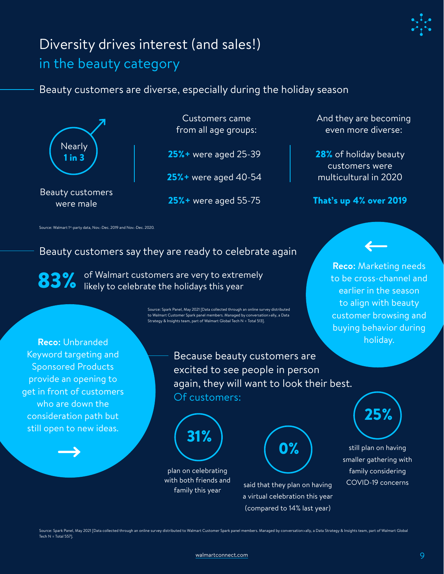

# Diversity drives interest (and sales!) in the beauty category

Beauty customers are diverse, especially during the holiday season



Beauty customers were male

Customers came from all age groups:

25%+ were aged 25-39

25%+ were aged 40-54

25%+ were aged 55-75

And they are becoming even more diverse:

28% of holiday beauty customers were multicultural in 2020

#### That's up 4% over 2019

Source: Walmart 1<sup>st</sup>-party data, Nov.-Dec. 2019 and Nov.-Dec. 2020.

## Beauty customers say they are ready to celebrate again

83% of Walmart customers are very to extrer<br>83% likely to celebrate the holidays this year of Walmart customers are very to extremely

> Source: Spark Panel, May 2021 [Data collected through an online survey distributed to Walmart Customer Spark panel members. Managed by conversation>ally, a Data Strategy & Insights team, part of Walmart Global Tech N = Total 513].

**Reco:** Unbranded Keyword targeting and Sponsored Products provide an opening to get in front of customers who are down the consideration path but still open to new ideas.

Because beauty customers are excited to see people in person again, they will want to look their best. Of customers:



plan on celebrating with both friends and

family this year said that they plan on having<br>family this year a virtual celebration this year (compared to 14% last year)

**0%** 

**Reco:** Marketing needs to be cross-channel and earlier in the season to align with beauty customer browsing and buying behavior during holiday.



still plan on having smaller gathering with family considering COVID-19 concerns

Source: Spark Panel, May 2021 [Data collected through an online survey distributed to Walmart Customer Spark panel members. Managed by conversation>ally, a Data Strategy & Insights team, part of Walmart Global Tech N = Total 557].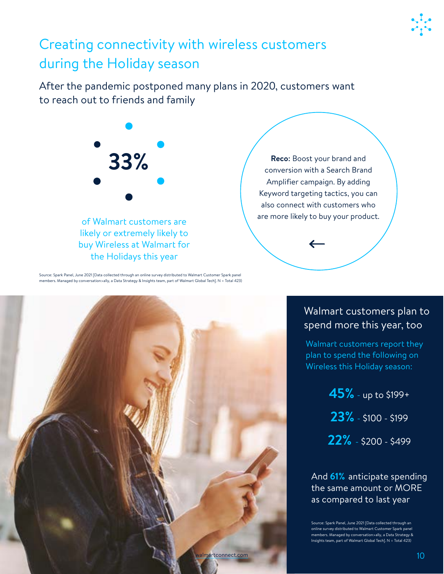

# Creating connectivity with wireless customers during the Holiday season

After the pandemic postponed many plans in 2020, customers want to reach out to friends and family



of Walmart customers are likely or extremely likely to buy Wireless at Walmart for the Holidays this year

conversion with a Search Brand Amplifier campaign. By adding Keyword targeting tactics, you can also connect with customers who are more likely to buy your product.

Source: Spark Panel, June 2021 [Data collected through an online survey distributed to Walmart Customer Spark panel members. Managed by conversation>ally, a Data Strategy & Insights team, part of Walmart Global Tech]. N = Total 423)



## Walmart customers plan to spend more this year, too

Walmart customers report they plan to spend the following on Wireless this Holiday season:

> **45%** - up to \$199+ **23%** - \$100 - \$199 **22%** - \$200 - \$499

And **61%** anticipate spending the same amount or MORE as compared to last year

Source: Spark Panel, June 2021 [Data collected through an online survey distributed to Walmart Customer Spark panel members. Managed by conversation>ally, a Data Strategy & Insights team, part of Walmart Global Tech]. N = Total 423)